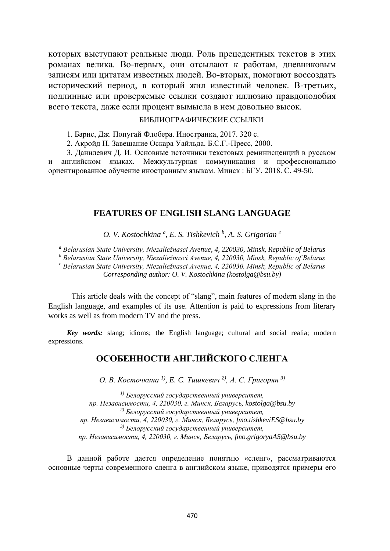которых выступают реальные люди. Роль прецедентных текстов в этих романах велика. Во-первых, они отсылают к работам, дневниковым записям или цитатам известных людей. Во-вторых, помогают воссоздать исторический период, в который жил известный человек. В-третьих, подлинные или проверяемые ссылки создают иллюзию правдоподобия всего текста, даже если процент вымысла в нем довольно высок.

#### БИБЛИОГРАФИЧЕСКИЕ ССЫЛКИ

1. Барнс, Дж. Попугай Флобера. Иностранка, 2017. 320 с.

2. Акройд П. Завещание Оскара Уайльда. Б.С.Г.-Пресс, 2000.

3. Данилевич Д. И. Основные источники текстовых реминисценций в русском и английском языках. Межкультурная коммуникация и профессионально ориентированное обучение иностранным языкам. Минск : БГУ, 2018. С. 49-50.

#### **FEATURES OF ENGLISH SLANG LANGUAGE**

*O. V. Kostochkina <sup>a</sup> , E. S. Tishkevich <sup>b</sup> , A. S. Grigorian <sup>c</sup>*

*<sup>a</sup> Belarusian State University, Niezaliežnasci Avenue, 4, 220030, Minsk, Republic of Belarus*

*<sup>b</sup> Belarusian State University, Niezaliežnasci Avenue, 4, 220030, Minsk, Republic of Belarus <sup>c</sup> Belarusian State University, Niezaliežnasci Avenue, 4, 220030, Minsk, Republic of Belarus Corresponding author: O. V. Kostochkina (kostolga@bsu.by)*

This article deals with the concept of "slang", main features of modern slang in the English language, and examples of its use. Attention is paid to expressions from literary works as well as from modern TV and the press.

*Key words:* slang; idioms; the English language; cultural and social realia; modern expressions.

# **ОСОБЕННОСТИ АНГЛИЙСКОГО СЛЕНГА**

*О. В. Косточкина 1) , E. C. Тишкевич 2), А. С. Григорян 3)*

*1) Белорусский государственный университет, пр. Независимости, 4, 220030, г. Минск, Беларусь, kostolga@bsu.by 2) Белорусский государственный университет, пр. Независимости, 4, 220030, г. Минск, Беларусь, [fmo.tishkeviES@bsu.by](mailto:fmo.tishkeviES@bsu.by) 3) Белорусский государственный университет, пр. Независимости, 4, 220030, г. Минск, Беларусь, [fmo.grigoryaAS@bsu.by](mailto:fmo.grigoryaAS@bsu.by)*

В данной работе дается определение понятию «сленг», рассматриваются основные черты современного сленга в английском языке, приводятся примеры его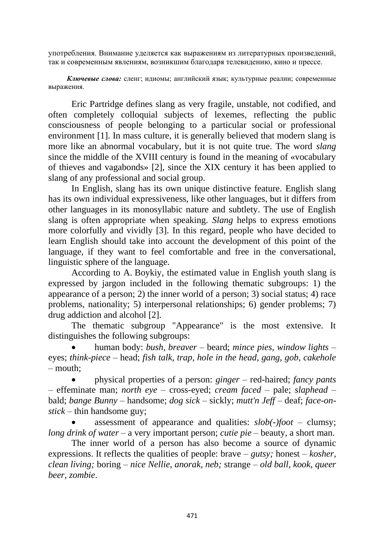употребления. Внимание уделяется как выражениям из литературных произведений, так и современным явлениям, возникшим благодаря телевидению, кино и прессе.

*Ключевые слова:* сленг; идиомы; английский язык; культурные реалии; современные выражения.

Eric Partridge defines slang as very fragile, unstable, not codified, and often completely colloquial subjects of lexemes, reflecting the public consciousness of people belonging to a particular social or professional environment [1]. In mass culture, it is generally believed that modern slang is more like an abnormal vocabulary, but it is not quite true. The word *slang* since the middle of the XVIII century is found in the meaning of «vocabulary of thieves and vagabonds» [2], since the XIX century it has been applied to slang of any professional and social group.

In English, slang has its own unique distinctive feature. English slang has its own individual expressiveness, like other languages, but it differs from other languages in its monosyllabic nature and subtlety. The use of English slang is often appropriate when speaking. *Slang* helps to express emotions more colorfully and vividly [3]. In this regard, people who have decided to learn English should take into account the development of this point of the language, if they want to feel comfortable and free in the conversational, linguistic sphere of the language.

According to A. Boykiy, the estimated value in English youth slang is expressed by jargon included in the following thematic subgroups: 1) the appearance of a person; 2) the inner world of a person; 3) social status; 4) race problems, nationality; 5) interpersonal relationships; 6) gender problems; 7) drug addiction and alcohol [2].

The thematic subgroup "Appearance" is the most extensive. It distinguishes the following subgroups:

• human body: *bush, breaver* – beard; *mince pies, window lights* – eyes; *think-piece* – head; *fish talk, trap, hole in the head, gang, gob, cakehole* – mouth;

• physical properties of a person: *ginger* – red-haired; *fancy pants* – effeminate man; *north eye* – cross-eyed; *cream faced* – pale; *slaphead* – bald; *bange Bunny* – handsome; *dog sick* – sickly; *mutt'n Jeff* – deaf; *face-onstick* – thin handsome guy;

• assessment of appearance and qualities: *slob(-)foot* – clumsy; *long drink of water* – a very important person; *cutie pie* – beauty, a short man.

The inner world of a person has also become a source of dynamic expressions. It reflects the qualities of people: brave – *gutsy;* honest – *kosher, clean living;* boring – *nice Nellie, anorak, neb;* strange – *old ball, kook, queer beer, zombie*.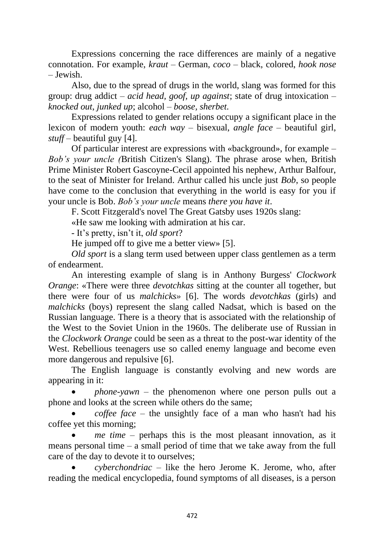Expressions concerning the race differences are mainly of a negative connotation. For example, *kraut* – German, *coco* – black, colored, *hook nose* – Jewish.

Also, due to the spread of drugs in the world, slang was formed for this group: drug addict – *acid head, goof, up against*; state of drug intoxication – *knocked out*, *junked up*; alcohol – *boose, sherbet.*

Expressions related to gender relations occupy a significant place in the lexicon of modern youth: *each way* – bisexual, *angle face* – beautiful girl, *stuff* – beautiful guy [4].

Of particular interest are expressions with «background», for example – *Bob's your uncle (*British Citizen's Slang). The phrase arose when, British Prime Minister Robert Gascoyne-Cecil appointed his nephew, Arthur Balfour, to the seat of Minister for Ireland. Arthur called his uncle just *Bob*, so people have come to the conclusion that everything in the world is easy for you if your uncle is Bob. *Bob's your uncle* means *there you have it*.

F. Scott Fitzgerald's novel The Great Gatsby uses 1920s slang:

«He saw me looking with admiration at his car.

- It's pretty, isn't it, *old sport*?

He jumped off to give me a better view» [5].

*Old sport* is a slang term used between upper class gentlemen as a term of endearment.

An interesting example of slang is in Anthony Burgess' *Clockwork Orange*: «There were three *devotchkas* sitting at the counter all together, but there were four of us *malchicks»* [6]. The words *devotchkas* (girls) and *malchicks* (boys) represent the slang called Nadsat, which is based on the Russian language. There is a theory that is associated with the relationship of the West to the Soviet Union in the 1960s. The deliberate use of Russian in the *Clockwork Orange* could be seen as a threat to the post-war identity of the West. Rebellious teenagers use so called enemy language and become even more dangerous and repulsive [6].

The English language is constantly evolving and new words are appearing in it:

• *phone-yawn* – the phenomenon where one person pulls out a phone and looks at the screen while others do the same;

• *coffee face* – the unsightly face of a man who hasn't had his coffee yet this morning;

• *me time* – perhaps this is the most pleasant innovation, as it means personal time – a small period of time that we take away from the full care of the day to devote it to ourselves;

• *cyberchondriac* – like the hero Jerome K. Jerome, who, after reading the medical encyclopedia, found symptoms of all diseases, is a person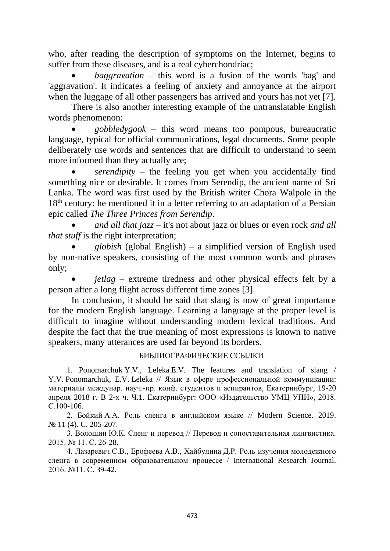who, after reading the description of symptoms on the Internet, begins to suffer from these diseases, and is a real cyberchondriac;

• *baggravation* – this word is a fusion of the words 'bag' and 'aggravation'. It indicates a feeling of anxiety and annoyance at the airport when the luggage of all other passengers has arrived and yours has not yet [7].

There is also another interesting example of the untranslatable English words phenomenon:

• *gobbledygook* – this word means too pompous, bureaucratic language, typical for official communications, legal documents. Some people deliberately use words and sentences that are difficult to understand to seem more informed than they actually are;

serendipity – the feeling you get when you accidentally find something nice or desirable. It comes from Serendip, the ancient name of Sri Lanka. The word was first used by the British writer Chora Walpole in the 18<sup>th</sup> century: he mentioned it in a letter referring to an adaptation of a Persian epic called *The Three Princes from Serendip*.

• *and all that jazz* – it's not about jazz or blues or even rock *and all that stuff* is the right interpretation;

• *globish* (global English) – a simplified version of English used by non-native speakers, consisting of the most common words and phrases only;

• *jetlag* – extreme tiredness and other physical effects felt by a person after a long flight across different time zones [3].

In conclusion, it should be said that slang is now of great importance for the modern English language. Learning a language at the proper level is difficult to imagine without understanding modern lexical traditions. And despite the fact that the true meaning of most expressions is known to native speakers, many utterances are used far beyond its borders.

#### БИБЛИОГРАФИЧЕСКИЕ ССЫЛКИ

1. Ponomarchuk Y.V., Leleka E.V. The features and translation of slang / Y.V. Ponomarchuk, E.V. Leleka // Язык в сфере профессиональной коммуникации: материалы междунар. науч.-пр. конф. студентов и аспирантов, Екатеринбург, 19-20 апреля 2018 г. В 2-х ч. Ч.1. Екатеринбург: ООО «Издательство УМЦ УПИ», 2018. С.100-106.

2. Бойкий А.А. Роль сленга в английском языке // Modern Science. 2019. № 11 (4). C. 205-207.

3. Волошин Ю.К. Сленг и перевод // Перевод и сопоставительная лингвистика. 2015. № 11. С. 26-28.

4. Лазаревич С.В., Ерофеева А.В., Хайбулина Д.Р. Роль изучения молодежного сленга в современном образовательном процессе / International Research Journal. 2016. №11. С. 39-42.